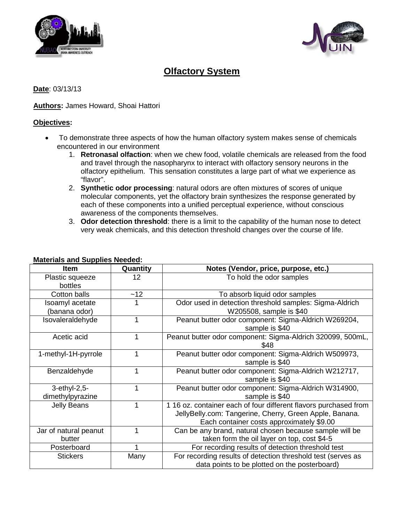



# **Olfactory System**

**Date**: 03/13/13

## **Authors:** James Howard, Shoai Hattori

## **Objectives :**

- To demonstrate three aspects of how the human olfactory system makes sense of chemicals encountered in our environment
	- 1. **Retronasal olfaction**: when we chew food, volatile chemicals are released from the food and travel through the nasopharynx to interact with olfactory sensory neurons in the olfactory epithelium. This sensation constitutes a large part of what we experience as "flavor".
	- 2. **Synthetic odor processing**: natural odors are often mixtures of scores of unique molecular components, yet the olfactory brain synthesizes the response generated by each of these components into a unified perceptual experience, without conscious awareness of the components themselves.
	- 3. **Odor detection threshold**: there is a limit to the capability of the human nose to detect very weak chemicals, and this detection threshold changes over the course of life.

| <b>Item</b>           | Quantity | Notes (Vendor, price, purpose, etc.)                             |
|-----------------------|----------|------------------------------------------------------------------|
| Plastic squeeze       | 12       | To hold the odor samples                                         |
| bottles               |          |                                                                  |
| Cotton balls          | $-12$    | To absorb liquid odor samples                                    |
| Isoamyl acetate       |          | Odor used in detection threshold samples: Sigma-Aldrich          |
| (banana odor)         |          | W205508, sample is \$40                                          |
| Isovaleraldehyde      |          | Peanut butter odor component: Sigma-Aldrich W269204,             |
|                       |          | sample is \$40                                                   |
| Acetic acid           | 1        | Peanut butter odor component: Sigma-Aldrich 320099, 500mL,       |
|                       |          | \$48                                                             |
| 1-methyl-1H-pyrrole   | 1        | Peanut butter odor component: Sigma-Aldrich W509973,             |
|                       |          | sample is \$40                                                   |
| Benzaldehyde          |          | Peanut butter odor component: Sigma-Aldrich W212717,             |
|                       |          | sample is \$40                                                   |
| 3-ethyl-2,5-          |          | Peanut butter odor component: Sigma-Aldrich W314900,             |
| dimethylpyrazine      |          | sample is \$40                                                   |
| <b>Jelly Beans</b>    |          | 1 16 oz. container each of four different flavors purchased from |
|                       |          | JellyBelly.com: Tangerine, Cherry, Green Apple, Banana.          |
|                       |          | Each container costs approximately \$9.00                        |
| Jar of natural peanut |          | Can be any brand, natural chosen because sample will be          |
| butter                |          | taken form the oil layer on top, cost \$4-5                      |
| Posterboard           |          | For recording results of detection threshold test                |
| <b>Stickers</b>       | Many     | For recording results of detection threshold test (serves as     |
|                       |          | data points to be plotted on the posterboard)                    |

# **Materials and Supplies Neede d:**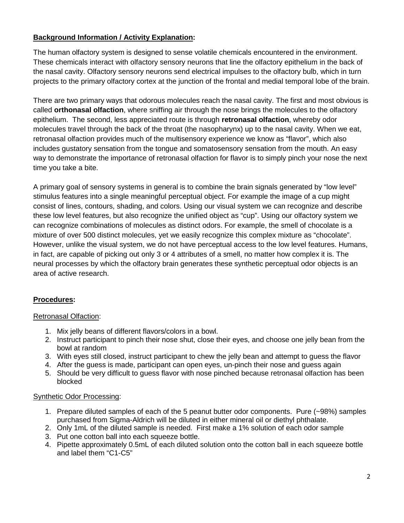# **Background Information / Activity Explanation :**

The human olfactory system is designed to sense volatile chemicals encountered in the environment. These chemicals interact with olfactory sensory neurons that line the olfactory epithelium in the back of the nasal cavity. Olfactory sensory neurons send electrical impulses to the olfactory bulb, which in turn projects to the primary olfactory cortex at the junction of the frontal and medial temporal lobe of the brain.

There are two primary ways that odorous molecules reach the nasal cavity. The first and most obvious is called **orthonasal olfaction**, where sniffing air through the nose brings the molecules to the olfactory epithelium. The second, less appreciated route is through **retronasal olfaction**, whereby odor molecules travel through the back of the throat (the nasopharynx) up to the nasal cavity. When we eat, retronasal olfaction provides much of the multisensory experience we know as "flavor", which also includes gustatory sensation from the tongue and somatosensory sensation from the mouth. An easy way to demonstrate the importance of retronasal olfaction for flavor is to simply pinch your nose the next time you take a bite.

A primary goal of sensory systems in general is to combine the brain signals generated by "low level" stimulus features into a single meaningful perceptual object. For example the image of a cup might consist of lines, contours, shading, and colors. Using our visual system we can recognize and describe these low level features, but also recognize the unified object as "cup". Using our olfactory system we can recognize combinations of molecules as distinct odors. For example, the smell of chocolate is a mixture of over 500 distinct molecules, yet we easily recognize this complex mixture as "chocolate". However, unlike the visual system, we do not have perceptual access to the low level features. Humans, in fact, are capable of picking out only 3 or 4 attributes of a smell, no matter how complex it is. The neural processes by which the olfactory brain generates these synthetic perceptual odor objects is an area of active research.

## **Procedures:**

## Retronasal Olfaction :

- 1. Mix jelly beans of different flavors/colors in a bowl.
- 2. Instruct participant to pinch their nose shut, close their eyes, and choose one jelly bean from the bowl at random
- 3. With eyes still closed, instruct participant to chew the jelly bean and attempt to guess the flavor
- 4. After the guess is made, participant can open eyes, un-pinch their nose and guess again
- 5. Should be very difficult to guess flavor with nose pinched because retronasal olfaction has been blocked

#### Synthetic Odor Processing:

- 1. Prepare diluted samples of each of the 5 peanut butter odor components. Pure (~98%) samples purchased from Sigma-Aldrich will be diluted in either mineral oil or diethyl phthalate.
- 2. Only 1mL of the diluted sample is needed. First make a 1% solution of each odor sample
- 3. Put one cotton ball into each squeeze bottle.
- 4. Pipette approximately 0.5mL of each diluted solution onto the cotton ball in each squeeze bottle and label them "C1-C5"